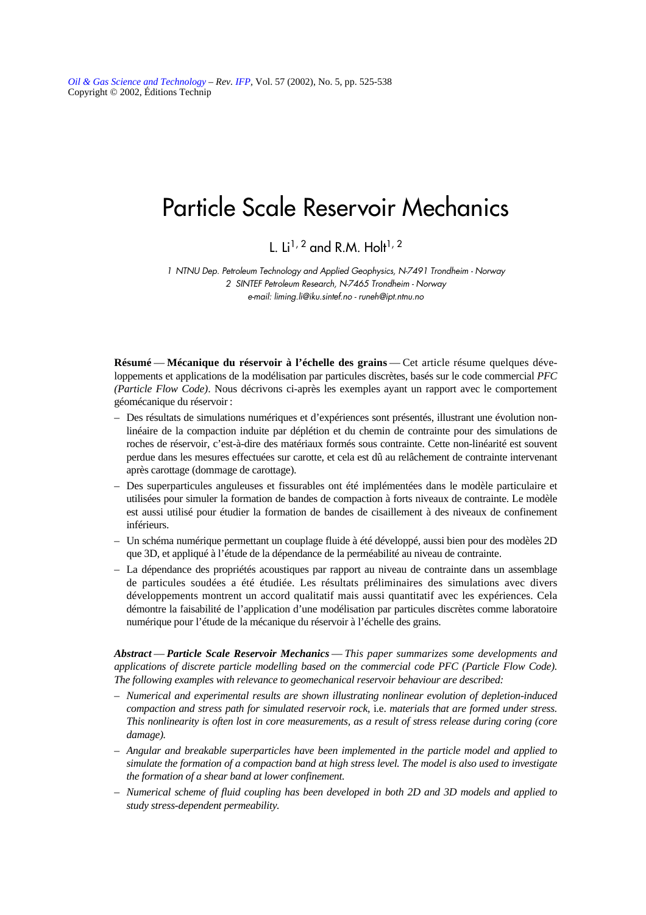*[Oil & Gas Science and Technology](http://ogst.ifp.fr/) – Rev. [IFP,](http://www.ifp.fr/)* Vol. 57 (2002), No. 5, pp. 525-538 Copyright © 2002, Éditions Technip

# Particle Scale Reservoir Mechanics

L.  $Li<sup>1</sup>, 2$  and R.M. Holt<sup>1, 2</sup>

*1 NTNU Dep. Petroleum Technology and Applied Geophysics, N-7491 Trondheim - Norway 2 SINTEF Petroleum Research, N-7465 Trondheim - Norway e-mail: liming.li@iku.sintef.no - runeh@ipt.ntnu.no*

**Résumé** — **Mécanique du réservoir à l'échelle des grains** — Cet article résume quelques développements et applications de la modélisation par particules discrètes, basés sur le code commercial *PFC (Particle Flow Code)*. Nous décrivons ci-après les exemples ayant un rapport avec le comportement géomécanique du réservoir :

- Des résultats de simulations numériques et d'expériences sont présentés, illustrant une évolution nonlinéaire de la compaction induite par déplétion et du chemin de contrainte pour des simulations de roches de réservoir, c'est-à-dire des matériaux formés sous contrainte. Cette non-linéarité est souvent perdue dans les mesures effectuées sur carotte, et cela est dû au relâchement de contrainte intervenant après carottage (dommage de carottage).
- Des superparticules anguleuses et fissurables ont été implémentées dans le modèle particulaire et utilisées pour simuler la formation de bandes de compaction à forts niveaux de contrainte. Le modèle est aussi utilisé pour étudier la formation de bandes de cisaillement à des niveaux de confinement inférieurs.
- Un schéma numérique permettant un couplage fluide à été développé, aussi bien pour des modèles 2D que 3D, et appliqué à l'étude de la dépendance de la perméabilité au niveau de contrainte.
- La dépendance des propriétés acoustiques par rapport au niveau de contrainte dans un assemblage de particules soudées a été étudiée. Les résultats préliminaires des simulations avec divers développements montrent un accord qualitatif mais aussi quantitatif avec les expériences. Cela démontre la faisabilité de l'application d'une modélisation par particules discrètes comme laboratoire numérique pour l'étude de la mécanique du réservoir à l'échelle des grains.

*Abstract* — *Particle Scale Reservoir Mechanics* — *This paper summarizes some developments and applications of discrete particle modelling based on the commercial code PFC (Particle Flow Code). The following examples with relevance to geomechanical reservoir behaviour are described:*

- *Numerical and experimental results are shown illustrating nonlinear evolution of depletion-induced compaction and stress path for simulated reservoir rock,* i.e. *materials that are formed under stress. This nonlinearity is often lost in core measurements, as a result of stress release during coring (core damage).*
- *Angular and breakable superparticles have been implemented in the particle model and applied to simulate the formation of a compaction band at high stress level. The model is also used to investigate the formation of a shear band at lower confinement.*
- *Numerical scheme of fluid coupling has been developed in both 2D and 3D models and applied to study stress-dependent permeability.*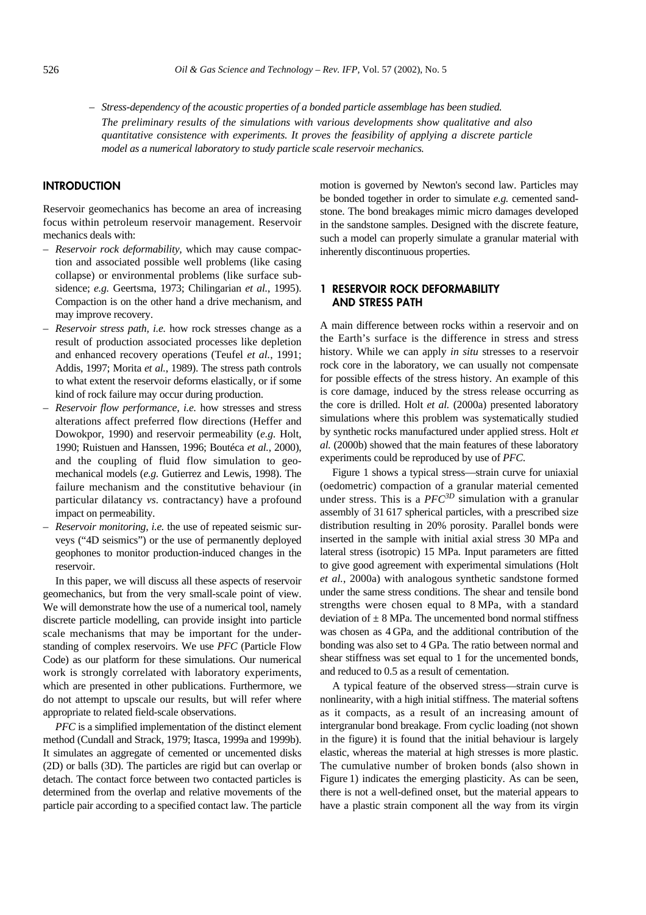*– Stress-dependency of the acoustic properties of a bonded particle assemblage has been studied. The preliminary results of the simulations with various developments show qualitative and also quantitative consistence with experiments. It proves the feasibility of applying a discrete particle model as a numerical laboratory to study particle scale reservoir mechanics.*

# **INTRODUCTION**

Reservoir geomechanics has become an area of increasing focus within petroleum reservoir management. Reservoir mechanics deals with:

- *Reservoir rock deformability,* which may cause compaction and associated possible well problems (like casing collapse) or environmental problems (like surface subsidence; *e.g.* Geertsma, 1973; Chilingarian *et al.*, 1995). Compaction is on the other hand a drive mechanism, and may improve recovery.
- *Reservoir stress path, i.e.* how rock stresses change as a result of production associated processes like depletion and enhanced recovery operations (Teufel *et al.*, 1991; Addis, 1997; Morita *et al.*, 1989). The stress path controls to what extent the reservoir deforms elastically, or if some kind of rock failure may occur during production.
- *Reservoir flow performance, i.e.* how stresses and stress alterations affect preferred flow directions (Heffer and Dowokpor, 1990) and reservoir permeability (*e.g.* Holt, 1990; Ruistuen and Hanssen, 1996; Boutéca *et al.*, 2000), and the coupling of fluid flow simulation to geomechanical models (*e.g.* Gutierrez and Lewis, 1998). The failure mechanism and the constitutive behaviour (in particular dilatancy *vs.* contractancy) have a profound impact on permeability.
- *Reservoir monitoring, i.e.* the use of repeated seismic surveys ("4D seismics") or the use of permanently deployed geophones to monitor production-induced changes in the reservoir.

In this paper, we will discuss all these aspects of reservoir geomechanics, but from the very small-scale point of view. We will demonstrate how the use of a numerical tool, namely discrete particle modelling, can provide insight into particle scale mechanisms that may be important for the understanding of complex reservoirs. We use *PFC* (Particle Flow Code) as our platform for these simulations. Our numerical work is strongly correlated with laboratory experiments, which are presented in other publications. Furthermore, we do not attempt to upscale our results, but will refer where appropriate to related field-scale observations.

*PFC* is a simplified implementation of the distinct element method (Cundall and Strack, 1979; Itasca, 1999a and 1999b). It simulates an aggregate of cemented or uncemented disks (2D) or balls (3D). The particles are rigid but can overlap or detach. The contact force between two contacted particles is determined from the overlap and relative movements of the particle pair according to a specified contact law. The particle motion is governed by Newton's second law. Particles may be bonded together in order to simulate *e.g.* cemented sandstone. The bond breakages mimic micro damages developed in the sandstone samples. Designed with the discrete feature, such a model can properly simulate a granular material with inherently discontinuous properties.

# **1 RESERVOIR ROCK DEFORMABILITY AND STRESS PATH**

A main difference between rocks within a reservoir and on the Earth's surface is the difference in stress and stress history. While we can apply *in situ* stresses to a reservoir rock core in the laboratory, we can usually not compensate for possible effects of the stress history. An example of this is core damage, induced by the stress release occurring as the core is drilled. Holt *et al.* (2000a) presented laboratory simulations where this problem was systematically studied by synthetic rocks manufactured under applied stress. Holt *et al.* (2000b) showed that the main features of these laboratory experiments could be reproduced by use of *PFC*.

Figure 1 shows a typical stress—strain curve for uniaxial (oedometric) compaction of a granular material cemented under stress. This is a *PFC3D* simulation with a granular assembly of 31 617 spherical particles, with a prescribed size distribution resulting in 20% porosity. Parallel bonds were inserted in the sample with initial axial stress 30 MPa and lateral stress (isotropic) 15 MPa. Input parameters are fitted to give good agreement with experimental simulations (Holt *et al.*, 2000a) with analogous synthetic sandstone formed under the same stress conditions. The shear and tensile bond strengths were chosen equal to 8 MPa, with a standard deviation of  $\pm 8$  MPa. The uncemented bond normal stiffness was chosen as 4 GPa, and the additional contribution of the bonding was also set to 4 GPa. The ratio between normal and shear stiffness was set equal to 1 for the uncemented bonds, and reduced to 0.5 as a result of cementation.

A typical feature of the observed stress—strain curve is nonlinearity, with a high initial stiffness. The material softens as it compacts, as a result of an increasing amount of intergranular bond breakage. From cyclic loading (not shown in the figure) it is found that the initial behaviour is largely elastic, whereas the material at high stresses is more plastic. The cumulative number of broken bonds (also shown in Figure 1) indicates the emerging plasticity. As can be seen, there is not a well-defined onset, but the material appears to have a plastic strain component all the way from its virgin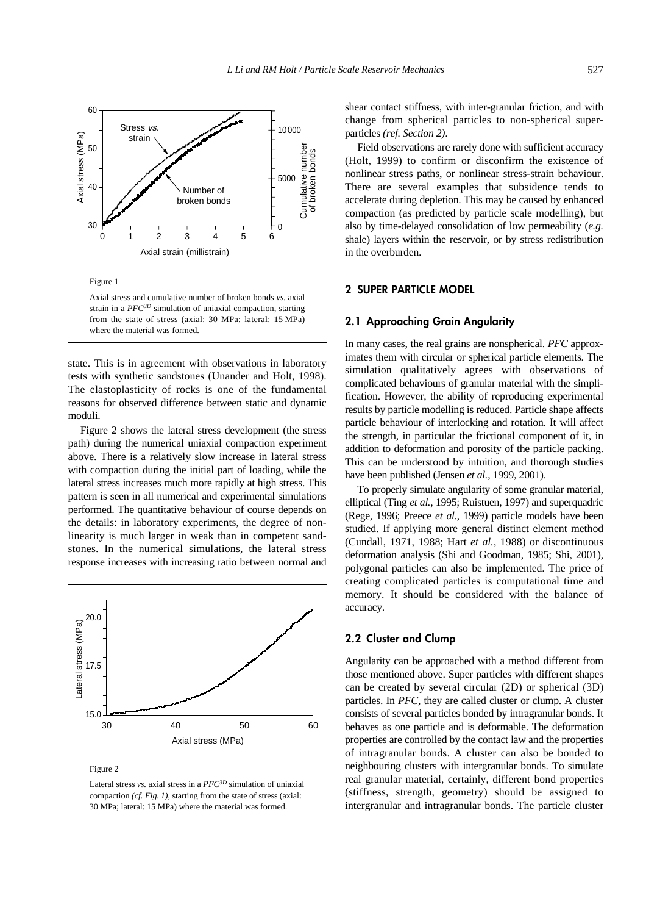

Figure 1

Axial stress and cumulative number of broken bonds *vs.* axial strain in a *PFC3D* simulation of uniaxial compaction, starting from the state of stress (axial: 30 MPa; lateral: 15 MPa) where the material was formed.

state. This is in agreement with observations in laboratory tests with synthetic sandstones (Unander and Holt, 1998). The elastoplasticity of rocks is one of the fundamental reasons for observed difference between static and dynamic moduli.

Figure 2 shows the lateral stress development (the stress path) during the numerical uniaxial compaction experiment above. There is a relatively slow increase in lateral stress with compaction during the initial part of loading, while the lateral stress increases much more rapidly at high stress. This pattern is seen in all numerical and experimental simulations performed. The quantitative behaviour of course depends on the details: in laboratory experiments, the degree of nonlinearity is much larger in weak than in competent sandstones. In the numerical simulations, the lateral stress response increases with increasing ratio between normal and



Figure 2

Lateral stress *vs.* axial stress in a *PFC3D* simulation of uniaxial compaction *(cf. Fig. 1)*, starting from the state of stress (axial: 30 MPa; lateral: 15 MPa) where the material was formed.

shear contact stiffness, with inter-granular friction, and with change from spherical particles to non-spherical superparticles *(ref. Section 2)*.

Field observations are rarely done with sufficient accuracy (Holt, 1999) to confirm or disconfirm the existence of nonlinear stress paths, or nonlinear stress-strain behaviour. There are several examples that subsidence tends to accelerate during depletion. This may be caused by enhanced compaction (as predicted by particle scale modelling), but also by time-delayed consolidation of low permeability (*e.g.* shale) layers within the reservoir, or by stress redistribution in the overburden.

## **2 SUPER PARTICLE MODEL**

# **2.1 Approaching Grain Angularity**

In many cases, the real grains are nonspherical. *PFC* approximates them with circular or spherical particle elements. The simulation qualitatively agrees with observations of complicated behaviours of granular material with the simplification. However, the ability of reproducing experimental results by particle modelling is reduced. Particle shape affects particle behaviour of interlocking and rotation. It will affect the strength, in particular the frictional component of it, in addition to deformation and porosity of the particle packing. This can be understood by intuition, and thorough studies have been published (Jensen *et al.*, 1999, 2001).

To properly simulate angularity of some granular material, elliptical (Ting *et al.*, 1995; Ruistuen, 1997) and superquadric (Rege, 1996; Preece *et al.*, 1999) particle models have been studied. If applying more general distinct element method (Cundall, 1971, 1988; Hart *et al.*, 1988) or discontinuous deformation analysis (Shi and Goodman, 1985; Shi, 2001), polygonal particles can also be implemented. The price of creating complicated particles is computational time and memory. It should be considered with the balance of accuracy.

# **2.2 Cluster and Clump**

Angularity can be approached with a method different from those mentioned above. Super particles with different shapes can be created by several circular (2D) or spherical (3D) particles. In *PFC*, they are called cluster or clump. A cluster consists of several particles bonded by intragranular bonds. It behaves as one particle and is deformable. The deformation properties are controlled by the contact law and the properties of intragranular bonds. A cluster can also be bonded to neighbouring clusters with intergranular bonds. To simulate real granular material, certainly, different bond properties (stiffness, strength, geometry) should be assigned to intergranular and intragranular bonds. The particle cluster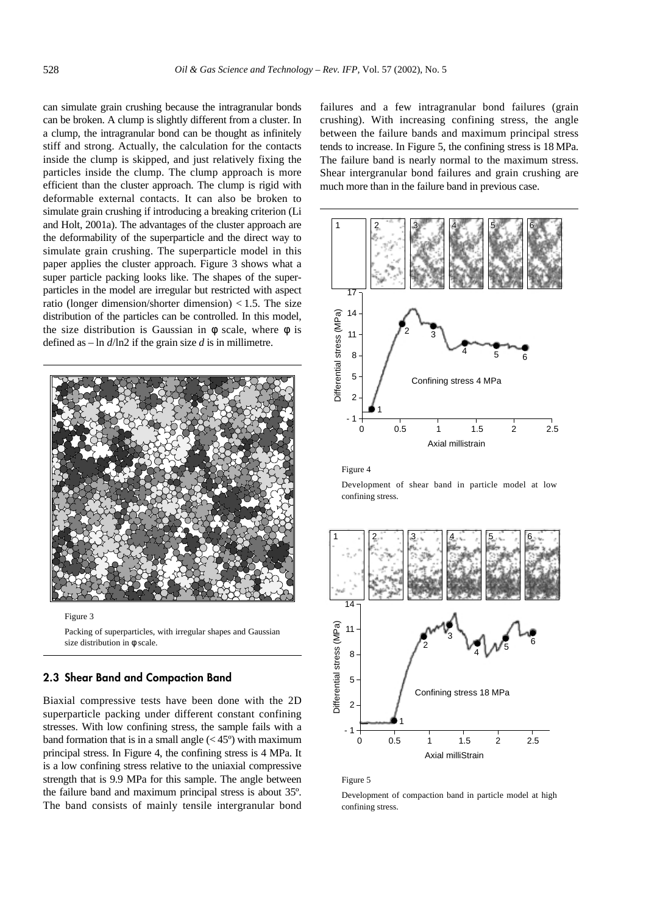can simulate grain crushing because the intragranular bonds can be broken. A clump is slightly different from a cluster. In a clump, the intragranular bond can be thought as infinitely stiff and strong. Actually, the calculation for the contacts inside the clump is skipped, and just relatively fixing the particles inside the clump. The clump approach is more efficient than the cluster approach. The clump is rigid with deformable external contacts. It can also be broken to simulate grain crushing if introducing a breaking criterion (Li and Holt, 2001a). The advantages of the cluster approach are the deformability of the superparticle and the direct way to simulate grain crushing. The superparticle model in this paper applies the cluster approach. Figure 3 shows what a super particle packing looks like. The shapes of the superparticles in the model are irregular but restricted with aspect ratio (longer dimension/shorter dimension) < 1.5. The size distribution of the particles can be controlled. In this model, the size distribution is Gaussian in  $\phi$  scale, where  $\phi$  is defined as – ln *d*/ln2 if the grain size *d* is in millimetre.



Figure 3

Packing of superparticles, with irregular shapes and Gaussian size distribution in φ scale.

# **2.3 Shear Band and Compaction Band**

Biaxial compressive tests have been done with the 2D superparticle packing under different constant confining stresses. With low confining stress, the sample fails with a band formation that is in a small angle  $( $45^{\circ}$ )$  with maximum principal stress. In Figure 4, the confining stress is 4 MPa. It is a low confining stress relative to the uniaxial compressive strength that is 9.9 MPa for this sample. The angle between the failure band and maximum principal stress is about 35º. The band consists of mainly tensile intergranular bond failures and a few intragranular bond failures (grain crushing). With increasing confining stress, the angle between the failure bands and maximum principal stress tends to increase. In Figure 5, the confining stress is 18 MPa. The failure band is nearly normal to the maximum stress. Shear intergranular bond failures and grain crushing are much more than in the failure band in previous case.



# Figure 4

Development of shear band in particle model at low confining stress.



#### Figure 5

Development of compaction band in particle model at high confining stress.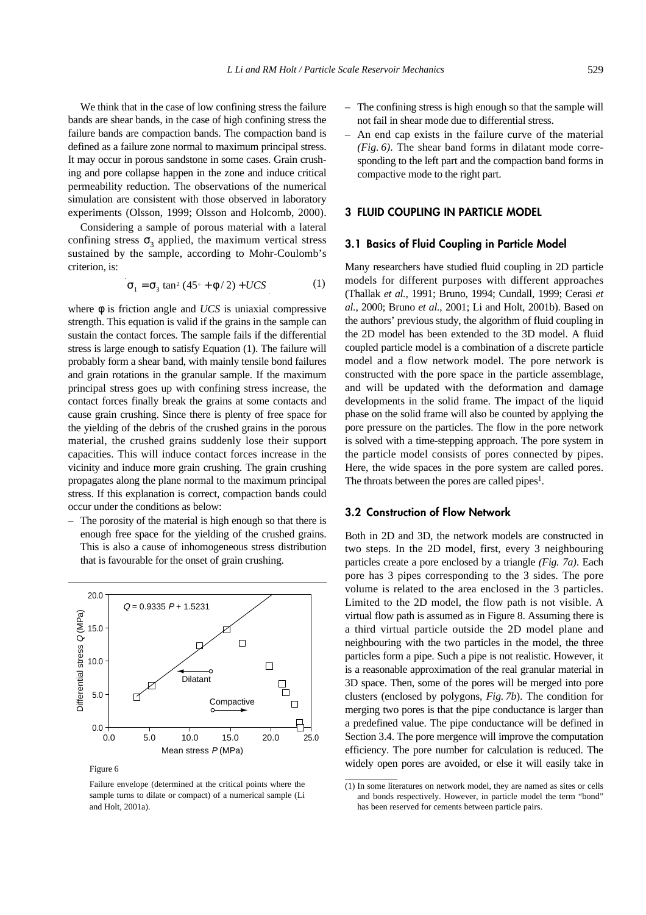We think that in the case of low confining stress the failure bands are shear bands, in the case of high confining stress the failure bands are compaction bands. The compaction band is defined as a failure zone normal to maximum principal stress. It may occur in porous sandstone in some cases. Grain crushing and pore collapse happen in the zone and induce critical permeability reduction. The observations of the numerical simulation are consistent with those observed in laboratory experiments (Olsson, 1999; Olsson and Holcomb, 2000).

Considering a sample of porous material with a lateral confining stress  $\sigma_3$  applied, the maximum vertical stress sustained by the sample, according to Mohr-Coulomb's criterion, is:

$$
\sigma_1 = \sigma_3 \tan^2 (45^\circ + \phi/2) + UCS \tag{1}
$$

where φ is friction angle and *UCS* is uniaxial compressive strength. This equation is valid if the grains in the sample can sustain the contact forces. The sample fails if the differential stress is large enough to satisfy Equation (1). The failure will probably form a shear band, with mainly tensile bond failures and grain rotations in the granular sample. If the maximum principal stress goes up with confining stress increase, the contact forces finally break the grains at some contacts and cause grain crushing. Since there is plenty of free space for the yielding of the debris of the crushed grains in the porous material, the crushed grains suddenly lose their support capacities. This will induce contact forces increase in the vicinity and induce more grain crushing. The grain crushing propagates along the plane normal to the maximum principal stress. If this explanation is correct, compaction bands could occur under the conditions as below:

– The porosity of the material is high enough so that there is enough free space for the yielding of the crushed grains. This is also a cause of inhomogeneous stress distribution that is favourable for the onset of grain crushing.



Figure 6

Failure envelope (determined at the critical points where the sample turns to dilate or compact) of a numerical sample (Li and Holt, 2001a).

- The confining stress is high enough so that the sample will not fail in shear mode due to differential stress.
- An end cap exists in the failure curve of the material *(Fig. 6)*. The shear band forms in dilatant mode corresponding to the left part and the compaction band forms in compactive mode to the right part.

# **3 FLUID COUPLING IN PARTICLE MODEL**

# **3.1 Basics of Fluid Coupling in Particle Model**

Many researchers have studied fluid coupling in 2D particle models for different purposes with different approaches (Thallak *et al.*, 1991; Bruno, 1994; Cundall, 1999; Cerasi *et al.*, 2000; Bruno *et al.*, 2001; Li and Holt, 2001b). Based on the authors' previous study, the algorithm of fluid coupling in the 2D model has been extended to the 3D model. A fluid coupled particle model is a combination of a discrete particle model and a flow network model. The pore network is constructed with the pore space in the particle assemblage, and will be updated with the deformation and damage developments in the solid frame. The impact of the liquid phase on the solid frame will also be counted by applying the pore pressure on the particles. The flow in the pore network is solved with a time-stepping approach. The pore system in the particle model consists of pores connected by pipes. Here, the wide spaces in the pore system are called pores. The throats between the pores are called pipes<sup>1</sup>.

# **3.2 Construction of Flow Network**

Both in 2D and 3D, the network models are constructed in two steps. In the 2D model, first, every 3 neighbouring particles create a pore enclosed by a triangle *(Fig. 7a)*. Each pore has 3 pipes corresponding to the 3 sides. The pore volume is related to the area enclosed in the 3 particles. Limited to the 2D model, the flow path is not visible. A virtual flow path is assumed as in Figure 8. Assuming there is a third virtual particle outside the 2D model plane and neighbouring with the two particles in the model, the three particles form a pipe. Such a pipe is not realistic. However, it is a reasonable approximation of the real granular material in 3D space. Then, some of the pores will be merged into pore clusters (enclosed by polygons, *Fig. 7b*). The condition for merging two pores is that the pipe conductance is larger than a predefined value. The pipe conductance will be defined in Section 3.4. The pore mergence will improve the computation efficiency. The pore number for calculation is reduced. The widely open pores are avoided, or else it will easily take in

<sup>(1)</sup> In some literatures on network model, they are named as sites or cells and bonds respectively. However, in particle model the term "bond" has been reserved for cements between particle pairs.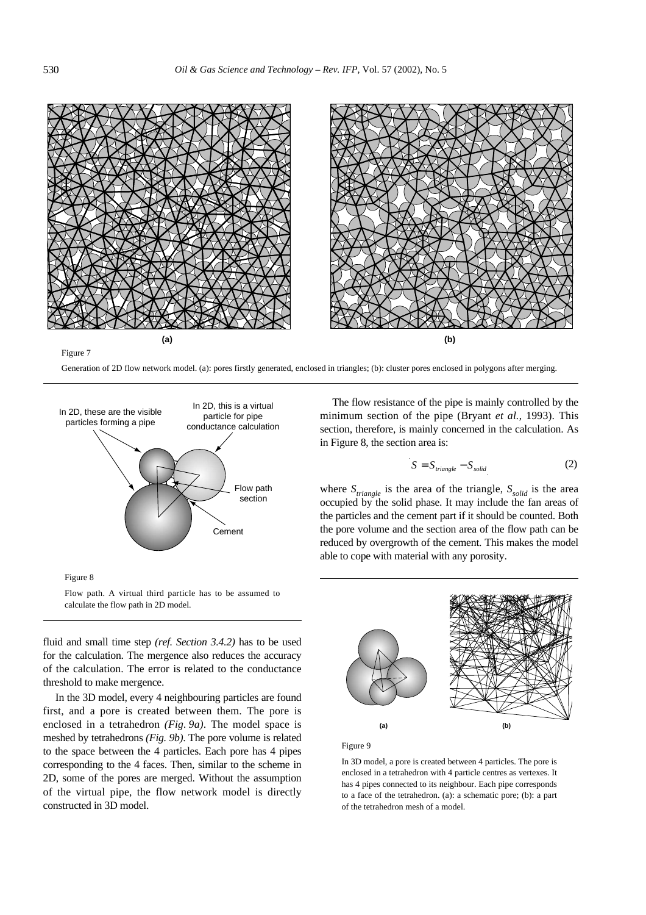

Generation of 2D flow network model. (a): pores firstly generated, enclosed in triangles; (b): cluster pores enclosed in polygons after merging.



calculate the flow path in 2D model.

fluid and small time step *(ref. Section 3.4.2)* has to be used for the calculation. The mergence also reduces the accuracy of the calculation. The error is related to the conductance threshold to make mergence.

In the 3D model, every 4 neighbouring particles are found first, and a pore is created between them. The pore is enclosed in a tetrahedron *(Fig. 9a)*. The model space is meshed by tetrahedrons *(Fig. 9b)*. The pore volume is related to the space between the 4 particles. Each pore has 4 pipes corresponding to the 4 faces. Then, similar to the scheme in 2D, some of the pores are merged. Without the assumption of the virtual pipe, the flow network model is directly constructed in 3D model.

The flow resistance of the pipe is mainly controlled by the minimum section of the pipe (Bryant *et al.*, 1993). This section, therefore, is mainly concerned in the calculation. As in Figure 8, the section area is:

$$
S = S_{triangle} - S_{solid}
$$
 (2)

where  $S_{triangle}$  is the area of the triangle,  $S_{solid}$  is the area occupied by the solid phase. It may include the fan areas of the particles and the cement part if it should be counted. Both the pore volume and the section area of the flow path can be reduced by overgrowth of the cement. This makes the model able to cope with material with any porosity.



Figure 9

In 3D model, a pore is created between 4 particles. The pore is enclosed in a tetrahedron with 4 particle centres as vertexes. It has 4 pipes connected to its neighbour. Each pipe corresponds to a face of the tetrahedron. (a): a schematic pore; (b): a part of the tetrahedron mesh of a model.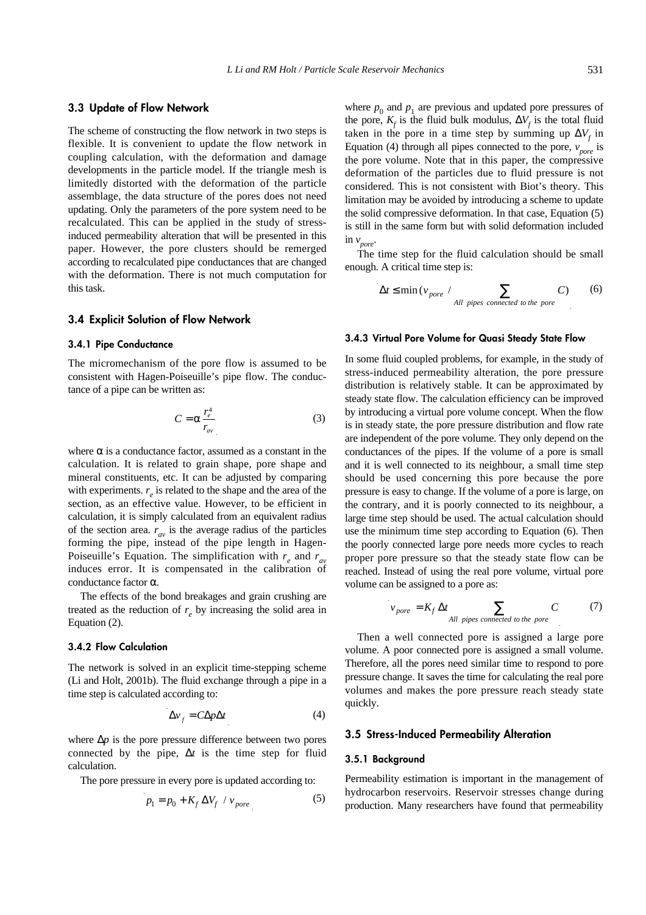## **3.3 Update of Flow Network**

The scheme of constructing the flow network in two steps is flexible. It is convenient to update the flow network in coupling calculation, with the deformation and damage developments in the particle model. If the triangle mesh is limitedly distorted with the deformation of the particle assemblage, the data structure of the pores does not need updating. Only the parameters of the pore system need to be recalculated. This can be applied in the study of stressinduced permeability alteration that will be presented in this paper. However, the pore clusters should be remerged according to recalculated pipe conductances that are changed with the deformation. There is not much computation for this task.

#### **3.4 Explicit Solution of Flow Network**

#### **3.4.1 Pipe Conductance**

The micromechanism of the pore flow is assumed to be consistent with Hagen-Poiseuille's pipe flow. The conductance of a pipe can be written as:

$$
C = \alpha \frac{r_e^4}{r_{av}} \tag{3}
$$

where  $\alpha$  is a conductance factor, assumed as a constant in the calculation. It is related to grain shape, pore shape and mineral constituents, etc. It can be adjusted by comparing with experiments.  $r_{\rho}$  is related to the shape and the area of the section, as an effective value. However, to be efficient in calculation, it is simply calculated from an equivalent radius of the section area.  $r_{av}$  is the average radius of the particles forming the pipe, instead of the pipe length in Hagen-Poiseuille's Equation. The simplification with  $r_e$  and  $r_{av}$ induces error. It is compensated in the calibration of conductance factor α.

The effects of the bond breakages and grain crushing are treated as the reduction of  $r_e$  by increasing the solid area in Equation (2).

# **3.4.2 Flow Calculation**

The network is solved in an explicit time-stepping scheme (Li and Holt, 2001b). The fluid exchange through a pipe in a time step is calculated according to:

$$
\Delta v_f = C \Delta p \Delta t \tag{4}
$$

where ∆*p* is the pore pressure difference between two pores connected by the pipe, ∆*t* is the time step for fluid calculation.

The pore pressure in every pore is updated according to:

$$
p_1 = p_0 + K_f \Delta V_f / v_{pore}
$$
 (5)

where  $p_0$  and  $p_1$  are previous and updated pore pressures of the pore,  $K_f$  is the fluid bulk modulus,  $\Delta V_f$  is the total fluid taken in the pore in a time step by summing up  $\Delta V_f$  in Equation (4) through all pipes connected to the pore,  $v_{pore}$  is the pore volume. Note that in this paper, the compressive deformation of the particles due to fluid pressure is not considered. This is not consistent with Biot's theory. This limitation may be avoided by introducing a scheme to update the solid compressive deformation. In that case, Equation (5) is still in the same form but with solid deformation included in *v pore*.

The time step for the fluid calculation should be small enough. A critical time step is:

$$
\Delta t \le \min(v_{pore} / \sum_{All\ pipes\ connected\ to\ the\ pore} C)
$$
 (6)

## **3.4.3 Virtual Pore Volume for Quasi Steady State Flow**

In some fluid coupled problems, for example, in the study of stress-induced permeability alteration, the pore pressure distribution is relatively stable. It can be approximated by steady state flow. The calculation efficiency can be improved by introducing a virtual pore volume concept. When the flow is in steady state, the pore pressure distribution and flow rate are independent of the pore volume. They only depend on the conductances of the pipes. If the volume of a pore is small and it is well connected to its neighbour, a small time step should be used concerning this pore because the pore pressure is easy to change. If the volume of a pore is large, on the contrary, and it is poorly connected to its neighbour, a large time step should be used. The actual calculation should use the minimum time step according to Equation (6). Then the poorly connected large pore needs more cycles to reach proper pore pressure so that the steady state flow can be reached. Instead of using the real pore volume, virtual pore volume can be assigned to a pore as:

$$
v_{pore} = K_f \Delta t \sum_{All\ pipes\ connected\ to\ the\ pore} C \tag{7}
$$

Then a well connected pore is assigned a large pore volume. A poor connected pore is assigned a small volume. Therefore, all the pores need similar time to respond to pore pressure change. It saves the time for calculating the real pore volumes and makes the pore pressure reach steady state quickly.

## **3.5 Stress-Induced Permeability Alteration**

#### **3.5.1 Background**

Permeability estimation is important in the management of hydrocarbon reservoirs. Reservoir stresses change during production. Many researchers have found that permeability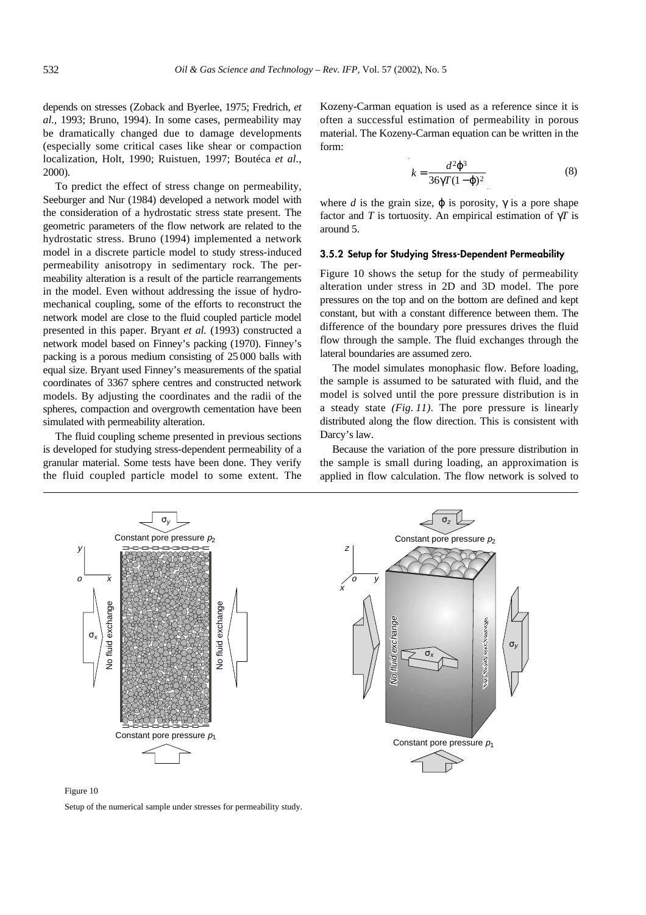depends on stresses (Zoback and Byerlee, 1975; Fredrich, *et al.*, 1993; Bruno, 1994). In some cases, permeability may be dramatically changed due to damage developments (especially some critical cases like shear or compaction localization, Holt, 1990; Ruistuen, 1997; Boutéca *et al.*, 2000).

To predict the effect of stress change on permeability, Seeburger and Nur (1984) developed a network model with the consideration of a hydrostatic stress state present. The geometric parameters of the flow network are related to the hydrostatic stress. Bruno (1994) implemented a network model in a discrete particle model to study stress-induced permeability anisotropy in sedimentary rock. The permeability alteration is a result of the particle rearrangements in the model. Even without addressing the issue of hydromechanical coupling, some of the efforts to reconstruct the network model are close to the fluid coupled particle model presented in this paper. Bryant *et al.* (1993) constructed a network model based on Finney's packing (1970). Finney's packing is a porous medium consisting of 25 000 balls with equal size. Bryant used Finney's measurements of the spatial coordinates of 3367 sphere centres and constructed network models. By adjusting the coordinates and the radii of the spheres, compaction and overgrowth cementation have been simulated with permeability alteration.

The fluid coupling scheme presented in previous sections is developed for studying stress-dependent permeability of a granular material. Some tests have been done. They verify the fluid coupled particle model to some extent. The

Kozeny-Carman equation is used as a reference since it is often a successful estimation of permeability in porous material. The Kozeny-Carman equation can be written in the form:

$$
k = \frac{d^2 \varphi^3}{36\gamma T (1 - \varphi)^2}
$$
 (8)

where *d* is the grain size,  $\varphi$  is porosity,  $\gamma$  is a pore shape factor and *T* is tortuosity. An empirical estimation of  $\gamma T$  is around 5.

#### **3.5.2 Setup for Studying Stress-Dependent Permeability**

Figure 10 shows the setup for the study of permeability alteration under stress in 2D and 3D model. The pore pressures on the top and on the bottom are defined and kept constant, but with a constant difference between them. The difference of the boundary pore pressures drives the fluid flow through the sample. The fluid exchanges through the lateral boundaries are assumed zero.

The model simulates monophasic flow. Before loading, the sample is assumed to be saturated with fluid, and the model is solved until the pore pressure distribution is in a steady state *(Fig. 11)*. The pore pressure is linearly distributed along the flow direction. This is consistent with Darcy's law.

Because the variation of the pore pressure distribution in the sample is small during loading, an approximation is applied in flow calculation. The flow network is solved to



Figure 10 Setup of the numerical sample under stresses for permeability study.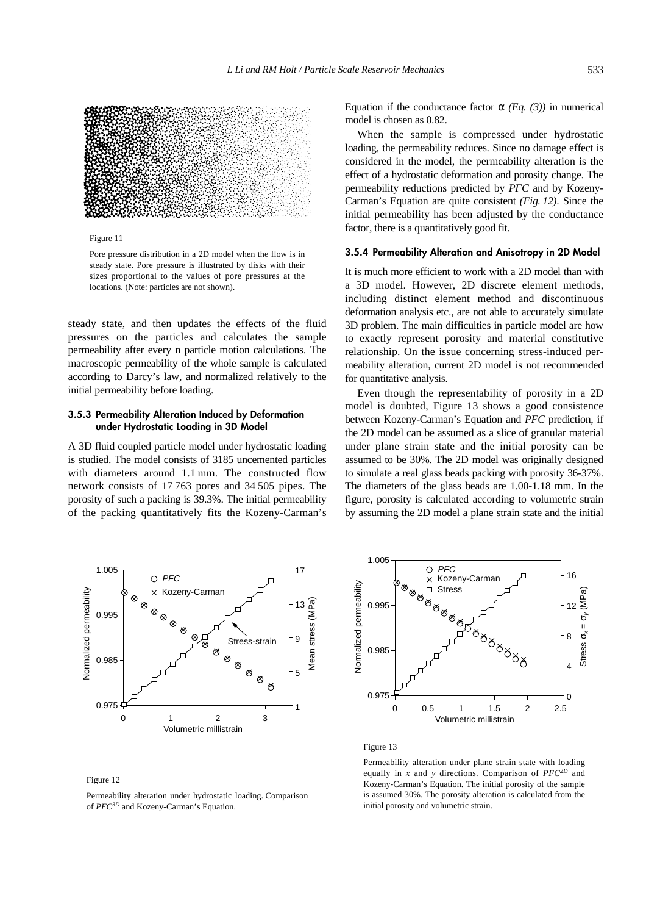

Figure 11

Pore pressure distribution in a 2D model when the flow is in steady state. Pore pressure is illustrated by disks with their sizes proportional to the values of pore pressures at the locations. (Note: particles are not shown).

steady state, and then updates the effects of the fluid pressures on the particles and calculates the sample permeability after every n particle motion calculations. The macroscopic permeability of the whole sample is calculated according to Darcy's law, and normalized relatively to the initial permeability before loading.

## **3.5.3 Permeability Alteration Induced by Deformation under Hydrostatic Loading in 3D Model**

A 3D fluid coupled particle model under hydrostatic loading is studied. The model consists of 3185 uncemented particles with diameters around 1.1 mm. The constructed flow network consists of 17 763 pores and 34 505 pipes. The porosity of such a packing is 39.3%. The initial permeability of the packing quantitatively fits the Kozeny-Carman's Equation if the conductance factor  $\alpha$  *(Eq. (3))* in numerical model is chosen as 0.82.

When the sample is compressed under hydrostatic loading, the permeability reduces. Since no damage effect is considered in the model, the permeability alteration is the effect of a hydrostatic deformation and porosity change. The permeability reductions predicted by *PFC* and by Kozeny-Carman's Equation are quite consistent *(Fig. 12)*. Since the initial permeability has been adjusted by the conductance factor, there is a quantitatively good fit.

#### **3.5.4 Permeability Alteration and Anisotropy in 2D Model**

It is much more efficient to work with a 2D model than with a 3D model. However, 2D discrete element methods, including distinct element method and discontinuous deformation analysis etc., are not able to accurately simulate 3D problem. The main difficulties in particle model are how to exactly represent porosity and material constitutive relationship. On the issue concerning stress-induced permeability alteration, current 2D model is not recommended for quantitative analysis.

Even though the representability of porosity in a 2D model is doubted, Figure 13 shows a good consistence between Kozeny-Carman's Equation and *PFC* prediction, if the 2D model can be assumed as a slice of granular material under plane strain state and the initial porosity can be assumed to be 30%. The 2D model was originally designed to simulate a real glass beads packing with porosity 36-37%. The diameters of the glass beads are 1.00-1.18 mm. In the figure, porosity is calculated according to volumetric strain by assuming the 2D model a plane strain state and the initial



#### Figure 12

Permeability alteration under hydrostatic loading. Comparison of *PFC3D* and Kozeny-Carman's Equation.



#### Figure 13

Permeability alteration under plane strain state with loading equally in *x* and *y* directions. Comparison of *PFC2D* and Kozeny-Carman's Equation. The initial porosity of the sample is assumed 30%. The porosity alteration is calculated from the initial porosity and volumetric strain.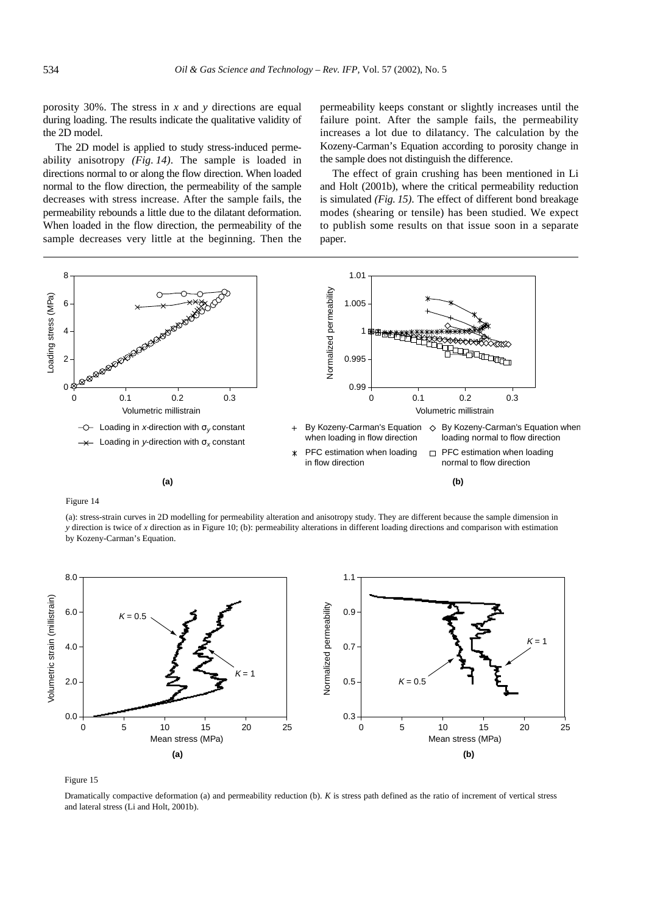porosity 30%. The stress in *x* and *y* directions are equal during loading. The results indicate the qualitative validity of the 2D model.

The 2D model is applied to study stress-induced permeability anisotropy *(Fig. 14)*. The sample is loaded in directions normal to or along the flow direction. When loaded normal to the flow direction, the permeability of the sample decreases with stress increase. After the sample fails, the permeability rebounds a little due to the dilatant deformation. When loaded in the flow direction, the permeability of the sample decreases very little at the beginning. Then the permeability keeps constant or slightly increases until the failure point. After the sample fails, the permeability increases a lot due to dilatancy. The calculation by the Kozeny-Carman's Equation according to porosity change in the sample does not distinguish the difference.

The effect of grain crushing has been mentioned in Li and Holt (2001b), where the critical permeability reduction is simulated *(Fig. 15)*. The effect of different bond breakage modes (shearing or tensile) has been studied. We expect to publish some results on that issue soon in a separate paper.



Figure 14

(a): stress-strain curves in 2D modelling for permeability alteration and anisotropy study. They are different because the sample dimension in *y* direction is twice of *x* direction as in Figure 10; (b): permeability alterations in different loading directions and comparison with estimation by Kozeny-Carman's Equation.



Figure 15

Dramatically compactive deformation (a) and permeability reduction (b). *K* is stress path defined as the ratio of increment of vertical stress and lateral stress (Li and Holt, 2001b).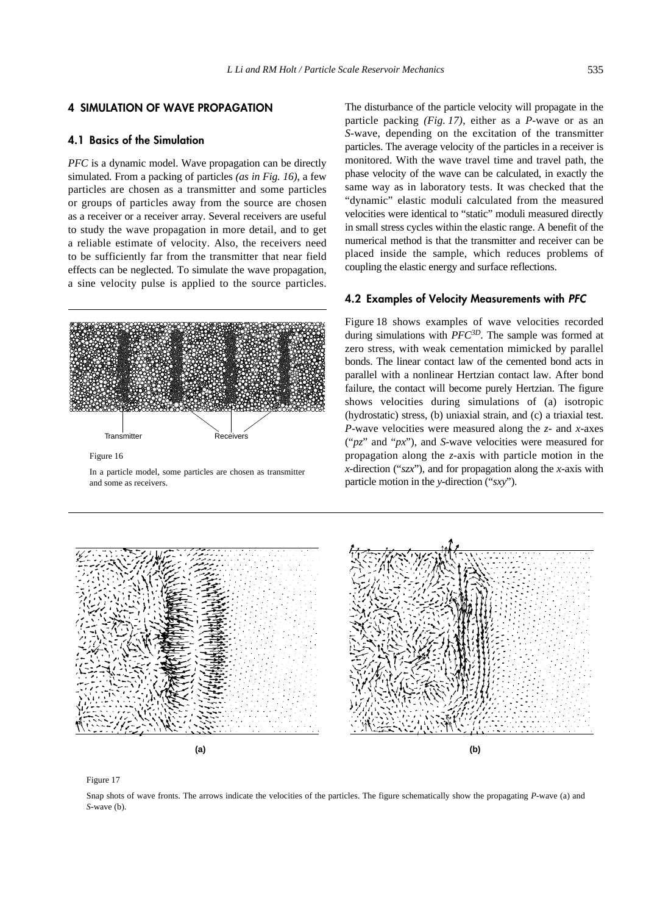# **4 SIMULATION OF WAVE PROPAGATION**

# **4.1 Basics of the Simulation**

*PFC* is a dynamic model. Wave propagation can be directly simulated. From a packing of particles *(as in Fig. 16)*, a few particles are chosen as a transmitter and some particles or groups of particles away from the source are chosen as a receiver or a receiver array. Several receivers are useful to study the wave propagation in more detail, and to get a reliable estimate of velocity. Also, the receivers need to be sufficiently far from the transmitter that near field effects can be neglected. To simulate the wave propagation, a sine velocity pulse is applied to the source particles.



Figure 16

In a particle model, some particles are chosen as transmitter and some as receivers.

The disturbance of the particle velocity will propagate in the particle packing *(Fig. 17)*, either as a *P*-wave or as an *S*-wave, depending on the excitation of the transmitter particles. The average velocity of the particles in a receiver is monitored. With the wave travel time and travel path, the phase velocity of the wave can be calculated, in exactly the same way as in laboratory tests. It was checked that the "dynamic" elastic moduli calculated from the measured velocities were identical to "static" moduli measured directly in small stress cycles within the elastic range. A benefit of the numerical method is that the transmitter and receiver can be placed inside the sample, which reduces problems of coupling the elastic energy and surface reflections.

# **4.2 Examples of Velocity Measurements with** *PFC*

Figure 18 shows examples of wave velocities recorded during simulations with *PFC3D*. The sample was formed at zero stress, with weak cementation mimicked by parallel bonds. The linear contact law of the cemented bond acts in parallel with a nonlinear Hertzian contact law. After bond failure, the contact will become purely Hertzian. The figure shows velocities during simulations of (a) isotropic (hydrostatic) stress, (b) uniaxial strain, and (c) a triaxial test. *P*-wave velocities were measured along the *z*- and *x*-axes ("*pz*" and "*px*"), and *S*-wave velocities were measured for propagation along the *z*-axis with particle motion in the *x*-direction ("*szx*"), and for propagation along the *x*-axis with particle motion in the *y*-direction ("*sxy*").



Figure 17

Snap shots of wave fronts. The arrows indicate the velocities of the particles. The figure schematically show the propagating *P*-wave (a) and *S*-wave (b).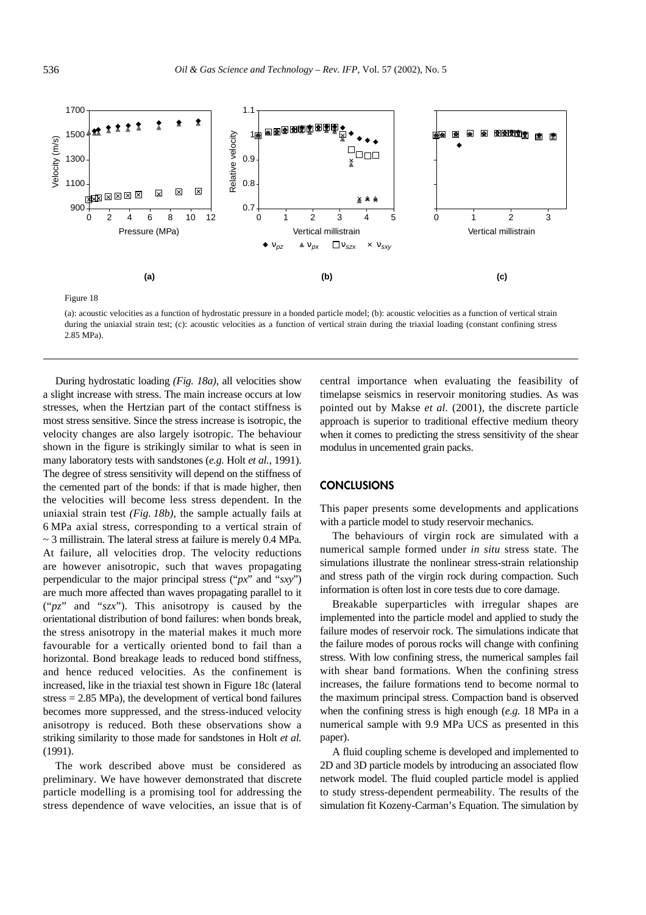

(a): acoustic velocities as a function of hydrostatic pressure in a bonded particle model; (b): acoustic velocities as a function of vertical strain during the uniaxial strain test; (c): acoustic velocities as a function of vertical strain during the triaxial loading (constant confining stress 2.85 MPa).

During hydrostatic loading *(Fig. 18a)*, all velocities show a slight increase with stress. The main increase occurs at low stresses, when the Hertzian part of the contact stiffness is most stress sensitive. Since the stress increase is isotropic, the velocity changes are also largely isotropic. The behaviour shown in the figure is strikingly similar to what is seen in many laboratory tests with sandstones (*e.g.* Holt *et al.*, 1991). The degree of stress sensitivity will depend on the stiffness of the cemented part of the bonds: if that is made higher, then the velocities will become less stress dependent. In the uniaxial strain test *(Fig. 18b)*, the sample actually fails at 6 MPa axial stress, corresponding to a vertical strain of ~ 3 millistrain. The lateral stress at failure is merely 0.4 MPa. At failure, all velocities drop. The velocity reductions are however anisotropic, such that waves propagating perpendicular to the major principal stress ("*px*" and "*sxy*") are much more affected than waves propagating parallel to it ("*pz*" and "*szx*"). This anisotropy is caused by the orientational distribution of bond failures: when bonds break, the stress anisotropy in the material makes it much more favourable for a vertically oriented bond to fail than a horizontal. Bond breakage leads to reduced bond stiffness, and hence reduced velocities. As the confinement is increased, like in the triaxial test shown in Figure 18c (lateral stress = 2.85 MPa), the development of vertical bond failures becomes more suppressed, and the stress-induced velocity anisotropy is reduced. Both these observations show a striking similarity to those made for sandstones in Holt *et al.* (1991).

The work described above must be considered as preliminary. We have however demonstrated that discrete particle modelling is a promising tool for addressing the stress dependence of wave velocities, an issue that is of central importance when evaluating the feasibility of timelapse seismics in reservoir monitoring studies. As was pointed out by Makse *et al.* (2001), the discrete particle approach is superior to traditional effective medium theory when it comes to predicting the stress sensitivity of the shear modulus in uncemented grain packs.

# **CONCLUSIONS**

This paper presents some developments and applications with a particle model to study reservoir mechanics.

The behaviours of virgin rock are simulated with a numerical sample formed under *in situ* stress state. The simulations illustrate the nonlinear stress-strain relationship and stress path of the virgin rock during compaction. Such information is often lost in core tests due to core damage.

Breakable superparticles with irregular shapes are implemented into the particle model and applied to study the failure modes of reservoir rock. The simulations indicate that the failure modes of porous rocks will change with confining stress. With low confining stress, the numerical samples fail with shear band formations. When the confining stress increases, the failure formations tend to become normal to the maximum principal stress. Compaction band is observed when the confining stress is high enough (*e.g.* 18 MPa in a numerical sample with 9.9 MPa UCS as presented in this paper).

A fluid coupling scheme is developed and implemented to 2D and 3D particle models by introducing an associated flow network model. The fluid coupled particle model is applied to study stress-dependent permeability. The results of the simulation fit Kozeny-Carman's Equation. The simulation by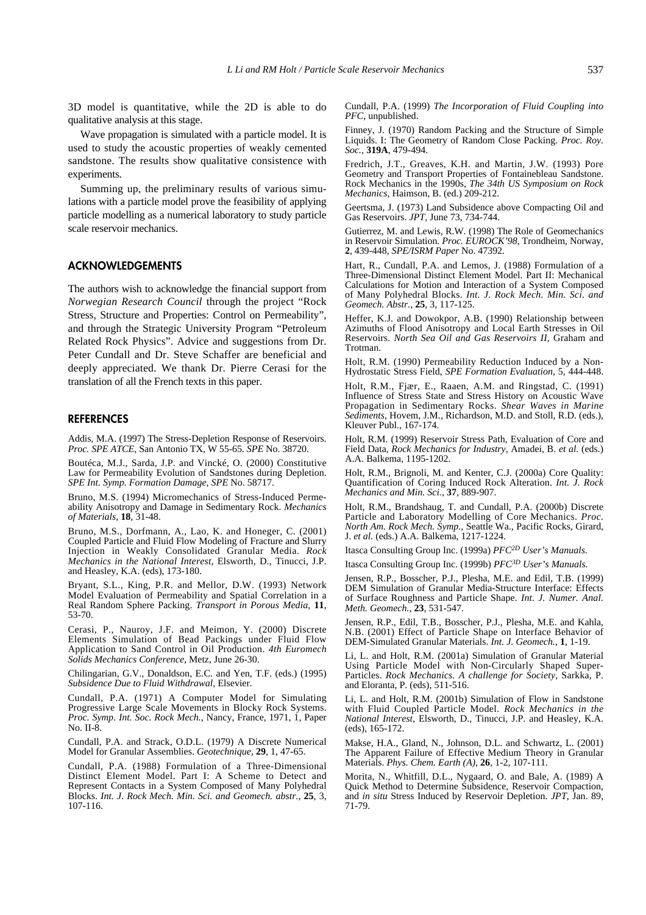3D model is quantitative, while the 2D is able to do qualitative analysis at this stage.

Wave propagation is simulated with a particle model. It is used to study the acoustic properties of weakly cemented sandstone. The results show qualitative consistence with experiments.

Summing up, the preliminary results of various simulations with a particle model prove the feasibility of applying particle modelling as a numerical laboratory to study particle scale reservoir mechanics.

# **ACKNOWLEDGEMENTS**

The authors wish to acknowledge the financial support from *Norwegian Research Council* through the project "Rock Stress, Structure and Properties: Control on Permeability", and through the Strategic University Program "Petroleum Related Rock Physics". Advice and suggestions from Dr. Peter Cundall and Dr. Steve Schaffer are beneficial and deeply appreciated. We thank Dr. Pierre Cerasi for the translation of all the French texts in this paper.

#### **REFERENCES**

Addis, M.A. (1997) The Stress-Depletion Response of Reservoirs. *Proc. SPE ATCE*, San Antonio TX, W 55-65. *SPE* No. 38720.

Boutéca, M.J., Sarda, J.P. and Vincké, O. (2000) Constitutive Law for Permeability Evolution of Sandstones during Depletion. *SPE Int. Symp. Formation Damage, SPE* No. 58717.

Bruno, M.S. (1994) Micromechanics of Stress-Induced Permeability Anisotropy and Damage in Sedimentary Rock. *Mechanics of Materials*, **18**, 31-48.

Bruno, M.S., Dorfmann, A., Lao, K. and Honeger, C. (2001) Coupled Particle and Fluid Flow Modeling of Fracture and Slurry Injection in Weakly Consolidated Granular Media. *Rock Mechanics in the National Interest*, Elsworth, D., Tinucci, J.P. and Heasley, K.A. (eds), 173-180.

Bryant, S.L., King, P.R. and Mellor, D.W. (1993) Network Model Evaluation of Permeability and Spatial Correlation in a Real Random Sphere Packing. *Transport in Porous Media*, **11**, 53-70.

Cerasi, P., Nauroy, J.F. and Meimon, Y. (2000) Discrete Elements Simulation of Bead Packings under Fluid Flow Application to Sand Control in Oil Production. *4th Euromech Solids Mechanics Conference*, Metz, June 26-30.

Chilingarian, G.V., Donaldson, E.C. and Yen, T.F. (eds.) (1995) *Subsidence Due to Fluid Withdrawal*, Elsevier.

Cundall, P.A. (1971) A Computer Model for Simulating Progressive Large Scale Movements in Blocky Rock Systems. *Proc. Symp. Int. Soc. Rock Mech.*, Nancy, France, 1971, 1, Paper No. II-8.

Cundall, P.A. and Strack, O.D.L. (1979) A Discrete Numerical Model for Granular Assemblies. *Geotechnique*, **29**, 1, 47-65.

Cundall, P.A. (1988) Formulation of a Three-Dimensional Distinct Element Model. Part I: A Scheme to Detect and Represent Contacts in a System Composed of Many Polyhedral Blocks. *Int. J. Rock Mech. Min. Sci. and Geomech. abstr.*, **25**, 3, 107-116.

Cundall, P.A. (1999) *The Incorporation of Fluid Coupling into PFC*, unpublished.

Finney, J. (1970) Random Packing and the Structure of Simple Liquids. I: The Geometry of Random Close Packing. *Proc. Roy. Soc.*, **319A**, 479-494.

Fredrich, J.T., Greaves, K.H. and Martin, J.W. (1993) Pore Geometry and Transport Properties of Fontainebleau Sandstone. Rock Mechanics in the 1990s, *The 34th US Symposium on Rock Mechanics*, Haimson, B. (ed.) 209-212.

Geertsma, J. (1973) Land Subsidence above Compacting Oil and Gas Reservoirs. *JPT*, June 73, 734-744.

Gutierrez, M. and Lewis, R.W. (1998) The Role of Geomechanics in Reservoir Simulation. *Proc. EUROCK'98*, Trondheim, Norway, **2**, 439-448, *SPE/ISRM Paper* No. 47392.

Hart, R., Cundall, P.A. and Lemos, J. (1988) Formulation of a Three-Dimensional Distinct Element Model. Part II: Mechanical Calculations for Motion and Interaction of a System Composed of Many Polyhedral Blocks. *Int. J. Rock Mech. Min. Sci. and Geomech. Abstr.*, **25**, 3, 117-125.

Heffer, K.J. and Dowokpor, A.B. (1990) Relationship between Azimuths of Flood Anisotropy and Local Earth Stresses in Oil Reservoirs. *North Sea Oil and Gas Reservoirs II*, Graham and Trotman.

Holt, R.M. (1990) Permeability Reduction Induced by a Non-Hydrostatic Stress Field, *SPE Formation Evaluation*, 5, 444-448.

Holt, R.M., Fjær, E., Raaen, A.M. and Ringstad, C. (1991) Influence of Stress State and Stress History on Acoustic Wave Propagation in Sedimentary Rocks. *Shear Waves in Marine Sediments*, Hovem, J.M., Richardson, M.D. and Stoll, R.D. (eds.), Kleuver Publ., 167-174.

Holt, R.M. (1999) Reservoir Stress Path, Evaluation of Core and Field Data, *Rock Mechanics for Industry*, Amadei, B. *et al.* (eds.) A.A. Balkema, 1195-1202.

Holt, R.M., Brignoli, M. and Kenter, C.J. (2000a) Core Quality: Quantification of Coring Induced Rock Alteration. *Int. J. Rock Mechanics and Min. Sci.*, **37**, 889-907.

Holt, R.M., Brandshaug, T. and Cundall, P.A. (2000b) Discrete Particle and Laboratory Modelling of Core Mechanics. *Proc. North Am. Rock Mech. Symp.*, Seattle Wa., Pacific Rocks, Girard, J. *et al.* (eds.) A.A. Balkema, 1217-1224.

Itasca Consulting Group Inc. (1999a) *PFC2D User's Manuals.*

Itasca Consulting Group Inc. (1999b) *PFC3D User's Manuals.*

Jensen, R.P., Bosscher, P.J., Plesha, M.E. and Edil, T.B. (1999) DEM Simulation of Granular Media-Structure Interface: Effects of Surface Roughness and Particle Shape. *Int. J. Numer. Anal. Meth. Geomech.*, **23**, 531-547.

Jensen, R.P., Edil, T.B., Bosscher, P.J., Plesha, M.E. and Kahla, N.B. (2001) Effect of Particle Shape on Interface Behavior of DEM-Simulated Granular Materials. *Int. J. Geomech.*, **1**, 1-19.

Li, L. and Holt, R.M. (2001a) Simulation of Granular Material Using Particle Model with Non-Circularly Shaped Super-Particles. *Rock Mechanics. A challenge for Society*, Sarkka, P. and Eloranta, P. (eds), 511-516.

Li, L. and Holt, R.M. (2001b) Simulation of Flow in Sandstone with Fluid Coupled Particle Model. *Rock Mechanics in the National Interest*, Elsworth, D., Tinucci, J.P. and Heasley, K.A. (eds), 165-172.

Makse, H.A., Gland, N., Johnson, D.L. and Schwartz, L. (2001) The Apparent Failure of Effective Medium Theory in Granular Materials. *Phys. Chem. Earth (A)*, **26**, 1-2, 107-111.

Morita, N., Whitfill, D.L., Nygaard, O. and Bale, A. (1989) A Quick Method to Determine Subsidence, Reservoir Compaction, and *in situ* Stress Induced by Reservoir Depletion. *JPT*, Jan. 89, 71-79.